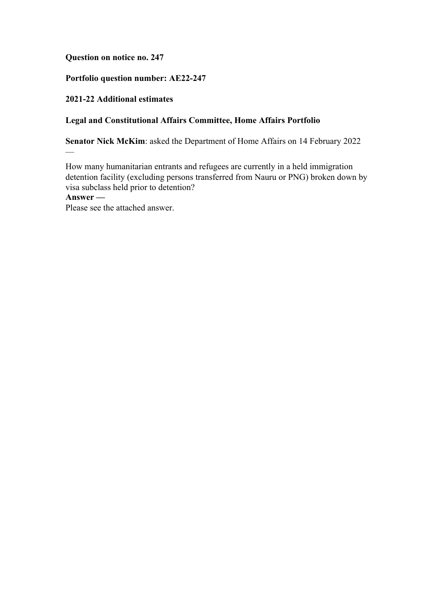**Question on notice no. 247**

# **Portfolio question number: AE22-247**

## **2021-22 Additional estimates**

## **Legal and Constitutional Affairs Committee, Home Affairs Portfolio**

**Senator Nick McKim**: asked the Department of Home Affairs on 14 February 2022

How many humanitarian entrants and refugees are currently in a held immigration detention facility (excluding persons transferred from Nauru or PNG) broken down by visa subclass held prior to detention?

**Answer —**

—

Please see the attached answer.